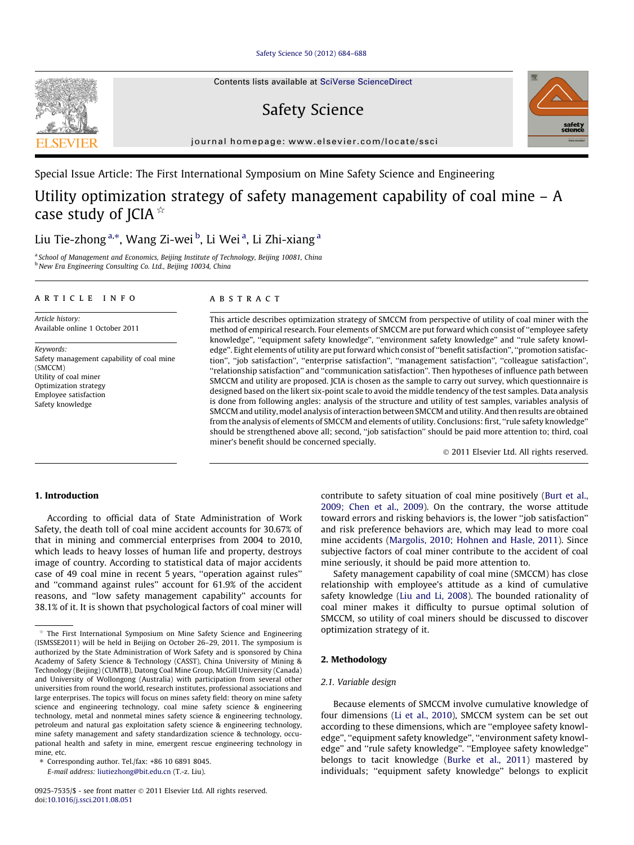[Safety Science 50 \(2012\) 684–688](http://dx.doi.org/10.1016/j.ssci.2011.08.051)

Contents lists available at [SciVerse ScienceDirect](http://www.sciencedirect.com/science/journal/09257535)

# Safety Science

journal homepage: [www.elsevier.com/locate/ssci](http://www.elsevier.com/locate/ssci)



Special Issue Article: The First International Symposium on Mine Safety Science and Engineering

## Utility optimization strategy of safety management capability of coal mine – A case study of JCIA $*$

### Liu Tie-zhong <sup>a,</sup>\*, Wang Zi-wei <sup>b</sup>, Li Wei <sup>a</sup>, Li Zhi-xiang <sup>a</sup>

<sup>a</sup> School of Management and Economics, Beijing Institute of Technology, Beijing 10081, China <sup>b</sup> New Era Engineering Consulting Co. Ltd., Beijing 10034, China

#### article info

Article history: Available online 1 October 2011

Keywords: Safety management capability of coal mine (SMCCM) Utility of coal miner Optimization strategy Employee satisfaction Safety knowledge

#### ABSTRACT

This article describes optimization strategy of SMCCM from perspective of utility of coal miner with the method of empirical research. Four elements of SMCCM are put forward which consist of ''employee safety knowledge'', ''equipment safety knowledge'', ''environment safety knowledge'' and ''rule safety knowledge''. Eight elements of utility are put forward which consist of ''benefit satisfaction'', ''promotion satisfaction'', ''job satisfaction'', ''enterprise satisfaction'', ''management satisfaction'', ''colleague satisfaction'', ''relationship satisfaction'' and ''communication satisfaction''. Then hypotheses of influence path between SMCCM and utility are proposed. JCIA is chosen as the sample to carry out survey, which questionnaire is designed based on the likert six-point scale to avoid the middle tendency of the test samples. Data analysis is done from following angles: analysis of the structure and utility of test samples, variables analysis of SMCCM and utility, model analysis of interaction between SMCCM and utility. And then results are obtained from the analysis of elements of SMCCM and elements of utility. Conclusions: first, ''rule safety knowledge'' should be strengthened above all; second, ''job satisfaction'' should be paid more attention to; third, coal miner's benefit should be concerned specially.

- 2011 Elsevier Ltd. All rights reserved.

#### 1. Introduction

According to official data of State Administration of Work Safety, the death toll of coal mine accident accounts for 30.67% of that in mining and commercial enterprises from 2004 to 2010, which leads to heavy losses of human life and property, destroys image of country. According to statistical data of major accidents case of 49 coal mine in recent 5 years, ''operation against rules'' and ''command against rules'' account for 61.9% of the accident reasons, and ''low safety management capability'' accounts for 38.1% of it. It is shown that psychological factors of coal miner will

⇑ Corresponding author. Tel./fax: +86 10 6891 8045.

E-mail address: [liutiezhong@bit.edu.cn](mailto:liutiezhong@bit.edu.cn) (T.-z. Liu).

contribute to safety situation of coal mine positively [\(Burt et al.,](#page--1-0) [2009; Chen et al., 2009\)](#page--1-0). On the contrary, the worse attitude toward errors and risking behaviors is, the lower ''job satisfaction'' and risk preference behaviors are, which may lead to more coal mine accidents [\(Margolis, 2010; Hohnen and Hasle, 2011\)](#page--1-0). Since subjective factors of coal miner contribute to the accident of coal mine seriously, it should be paid more attention to.

Safety management capability of coal mine (SMCCM) has close relationship with employee's attitude as a kind of cumulative safety knowledge ([Liu and Li, 2008\)](#page--1-0). The bounded rationality of coal miner makes it difficulty to pursue optimal solution of SMCCM, so utility of coal miners should be discussed to discover optimization strategy of it.

#### 2. Methodology

#### 2.1. Variable design

Because elements of SMCCM involve cumulative knowledge of four dimensions ([Li et al., 2010\)](#page--1-0), SMCCM system can be set out according to these dimensions, which are ''employee safety knowledge'', ''equipment safety knowledge'', ''environment safety knowledge'' and ''rule safety knowledge''. ''Employee safety knowledge'' belongs to tacit knowledge [\(Burke et al., 2011\)](#page--1-0) mastered by individuals; ''equipment safety knowledge'' belongs to explicit



The First International Symposium on Mine Safety Science and Engineering (ISMSSE2011) will be held in Beijing on October 26–29, 2011. The symposium is authorized by the State Administration of Work Safety and is sponsored by China Academy of Safety Science & Technology (CASST), China University of Mining & Technology (Beijing) (CUMTB), Datong Coal Mine Group, McGill University (Canada) and University of Wollongong (Australia) with participation from several other universities from round the world, research institutes, professional associations and large enterprises. The topics will focus on mines safety field: theory on mine safety science and engineering technology, coal mine safety science & engineering technology, metal and nonmetal mines safety science & engineering technology, petroleum and natural gas exploitation safety science & engineering technology, mine safety management and safety standardization science & technology, occupational health and safety in mine, emergent rescue engineering technology in mine, etc.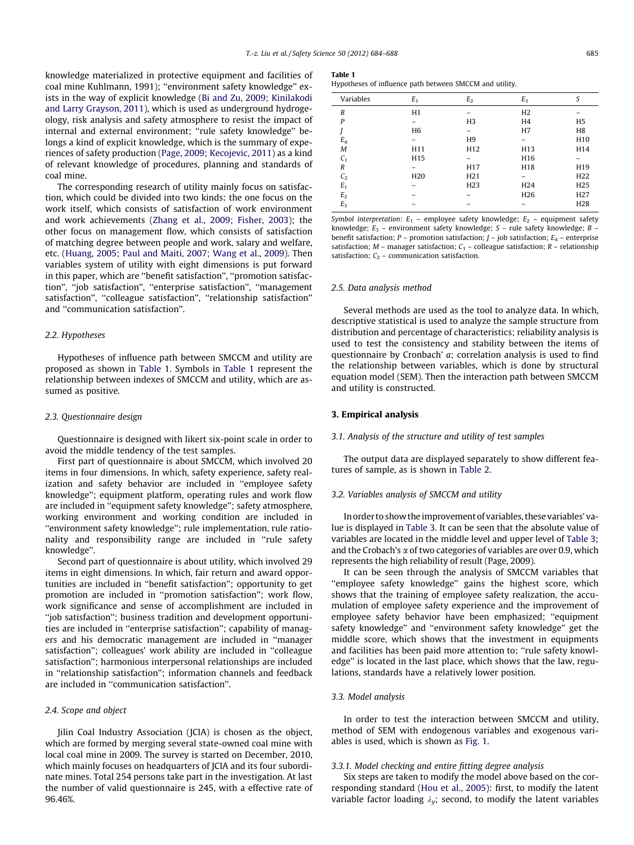knowledge materialized in protective equipment and facilities of coal mine Kuhlmann, 1991); ''environment safety knowledge'' exists in the way of explicit knowledge ([Bi and Zu, 2009; Kinilakodi](#page--1-0) [and Larry Grayson, 2011](#page--1-0)), which is used as underground hydrogeology, risk analysis and safety atmosphere to resist the impact of internal and external environment; "rule safety knowledge" belongs a kind of explicit knowledge, which is the summary of experiences of safety production ([Page, 2009; Kecojevic, 2011\)](#page--1-0) as a kind of relevant knowledge of procedures, planning and standards of coal mine.

The corresponding research of utility mainly focus on satisfaction, which could be divided into two kinds: the one focus on the work itself, which consists of satisfaction of work environment and work achievements ([Zhang et al., 2009; Fisher, 2003](#page--1-0)); the other focus on management flow, which consists of satisfaction of matching degree between people and work, salary and welfare, etc. ([Huang, 2005; Paul and Maiti, 2007; Wang et al., 2009](#page--1-0)). Then variables system of utility with eight dimensions is put forward in this paper, which are ''benefit satisfaction'', ''promotion satisfaction'', ''job satisfaction'', ''enterprise satisfaction'', ''management satisfaction", "colleague satisfaction", "relationship satisfaction" and ''communication satisfaction''.

#### 2.2. Hypotheses

Hypotheses of influence path between SMCCM and utility are proposed as shown in Table 1. Symbols in Table 1 represent the relationship between indexes of SMCCM and utility, which are assumed as positive.

#### 2.3. Questionnaire design

Questionnaire is designed with likert six-point scale in order to avoid the middle tendency of the test samples.

First part of questionnaire is about SMCCM, which involved 20 items in four dimensions. In which, safety experience, safety realization and safety behavior are included in ''employee safety knowledge''; equipment platform, operating rules and work flow are included in ''equipment safety knowledge''; safety atmosphere, working environment and working condition are included in ''environment safety knowledge''; rule implementation, rule rationality and responsibility range are included in ''rule safety knowledge''.

Second part of questionnaire is about utility, which involved 29 items in eight dimensions. In which, fair return and award opportunities are included in ''benefit satisfaction''; opportunity to get promotion are included in ''promotion satisfaction''; work flow, work significance and sense of accomplishment are included in ''job satisfaction''; business tradition and development opportunities are included in ''enterprise satisfaction''; capability of managers and his democratic management are included in ''manager satisfaction''; colleagues' work ability are included in ''colleague satisfaction''; harmonious interpersonal relationships are included in ''relationship satisfaction''; information channels and feedback are included in ''communication satisfaction''.

#### 2.4. Scope and object

Jilin Coal Industry Association (JCIA) is chosen as the object, which are formed by merging several state-owned coal mine with local coal mine in 2009. The survey is started on December, 2010, which mainly focuses on headquarters of JCIA and its four subordinate mines. Total 254 persons take part in the investigation. At last the number of valid questionnaire is 245, with a effective rate of 96.46%.

#### Table 1

Hypotheses of influence path between SMCCM and utility.

| Variables      | $E_1$           | E <sub>2</sub>  | $E_3$           | S               |
|----------------|-----------------|-----------------|-----------------|-----------------|
| B              | H1              |                 | H <sub>2</sub>  |                 |
| P              |                 | H <sub>3</sub>  | H <sub>4</sub>  | H <sub>5</sub>  |
|                | H <sub>6</sub>  |                 | H7              | H <sub>8</sub>  |
| $E_4$          |                 | H <sub>9</sub>  | -               | H <sub>10</sub> |
| M              | H11             | H <sub>12</sub> | H13             | H14             |
| $C_1$          | H15             |                 | H16             |                 |
| R              |                 | H17             | H18             | H19             |
| C <sub>2</sub> | H <sub>20</sub> | H <sub>21</sub> |                 | H <sub>22</sub> |
| $E_1$          |                 | H <sub>23</sub> | H <sub>24</sub> | H <sub>25</sub> |
| E <sub>2</sub> |                 |                 | H <sub>26</sub> | H <sub>27</sub> |
| $E_3$          |                 |                 |                 | H <sub>28</sub> |
|                |                 |                 |                 |                 |

Symbol interpretation:  $E_1$  – employee safety knowledge;  $E_2$  – equipment safety knowledge;  $E_3$  – environment safety knowledge; S – rule safety knowledge; B – benefit satisfaction;  $P$  – promotion satisfaction;  $J$  – job satisfaction;  $E_4$  – enterprise satisfaction;  $M$  – manager satisfaction;  $C_1$  – colleague satisfaction;  $R$  – relationship satisfaction;  $C_2$  – communication satisfaction.

#### 2.5. Data analysis method

Several methods are used as the tool to analyze data. In which, descriptive statistical is used to analyze the sample structure from distribution and percentage of characteristics; reliability analysis is used to test the consistency and stability between the items of questionnaire by Cronbach' a; correlation analysis is used to find the relationship between variables, which is done by structural equation model (SEM). Then the interaction path between SMCCM and utility is constructed.

#### 3. Empirical analysis

#### 3.1. Analysis of the structure and utility of test samples

The output data are displayed separately to show different features of sample, as is shown in [Table 2.](#page--1-0)

#### 3.2. Variables analysis of SMCCM and utility

In order to show the improvement of variables, these variables' value is displayed in [Table 3.](#page--1-0) It can be seen that the absolute value of variables are located in the middle level and upper level of [Table 3;](#page--1-0) and the Crobach's  $\alpha$  of two categories of variables are over 0.9, which represents the high reliability of result (Page, 2009).

It can be seen through the analysis of SMCCM variables that ''employee safety knowledge'' gains the highest score, which shows that the training of employee safety realization, the accumulation of employee safety experience and the improvement of employee safety behavior have been emphasized; ''equipment safety knowledge'' and ''environment safety knowledge'' get the middle score, which shows that the investment in equipments and facilities has been paid more attention to; ''rule safety knowledge'' is located in the last place, which shows that the law, regulations, standards have a relatively lower position.

#### 3.3. Model analysis

In order to test the interaction between SMCCM and utility, method of SEM with endogenous variables and exogenous variables is used, which is shown as [Fig. 1.](#page--1-0)

#### 3.3.1. Model checking and entire fitting degree analysis

Six steps are taken to modify the model above based on the corresponding standard ([Hou et al., 2005\)](#page--1-0): first, to modify the latent variable factor loading  $\lambda_v$ ; second, to modify the latent variables